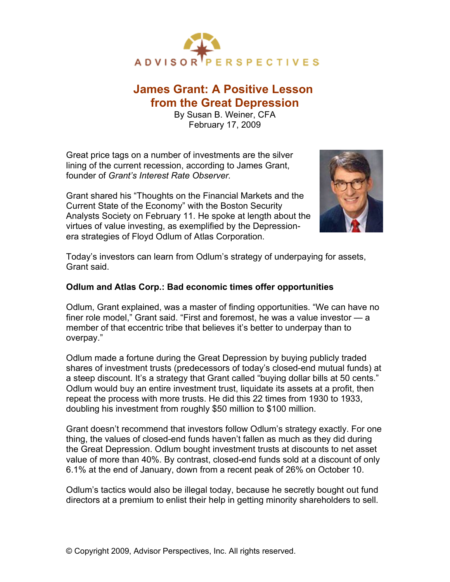

## **James Grant: A Positive Lesson from the Great Depression**

By Susan B. Weiner, CFA February 17, 2009

Great price tags on a number of investments are the silver lining of the current recession, according to James Grant, founder of *Grant's Interest Rate Observer.*

Grant shared his "Thoughts on the Financial Markets and the Current State of the Economy" with the Boston Security Analysts Society on February 11. He spoke at length about the virtues of value investing, as exemplified by the Depressionera strategies of Floyd Odlum of Atlas Corporation.



Today's investors can learn from Odlum's strategy of underpaying for assets, Grant said.

## **Odlum and Atlas Corp.: Bad economic times offer opportunities**

Odlum, Grant explained, was a master of finding opportunities. "We can have no finer role model," Grant said. "First and foremost, he was a value investor — a member of that eccentric tribe that believes it's better to underpay than to overpay."

Odlum made a fortune during the Great Depression by buying publicly traded shares of investment trusts (predecessors of today's closed-end mutual funds) at a steep discount. It's a strategy that Grant called "buying dollar bills at 50 cents." Odlum would buy an entire investment trust, liquidate its assets at a profit, then repeat the process with more trusts. He did this 22 times from 1930 to 1933, doubling his investment from roughly \$50 million to \$100 million.

Grant doesn't recommend that investors follow Odlum's strategy exactly. For one thing, the values of closed-end funds haven't fallen as much as they did during the Great Depression. Odlum bought investment trusts at discounts to net asset value of more than 40%. By contrast, closed-end funds sold at a discount of only 6.1% at the end of January, down from a recent peak of 26% on October 10.

Odlum's tactics would also be illegal today, because he secretly bought out fund directors at a premium to enlist their help in getting minority shareholders to sell.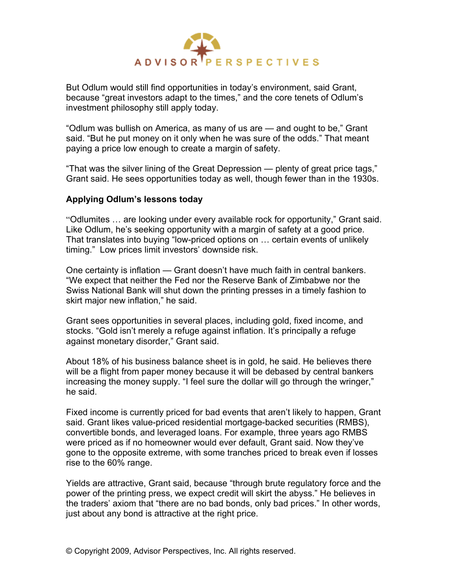

But Odlum would still find opportunities in today's environment, said Grant, because "great investors adapt to the times," and the core tenets of Odlum's investment philosophy still apply today.

"Odlum was bullish on America, as many of us are — and ought to be," Grant said. "But he put money on it only when he was sure of the odds." That meant paying a price low enough to create a margin of safety.

"That was the silver lining of the Great Depression — plenty of great price tags," Grant said. He sees opportunities today as well, though fewer than in the 1930s.

## **Applying Odlum's lessons today**

"Odlumites … are looking under every available rock for opportunity," Grant said. Like Odlum, he's seeking opportunity with a margin of safety at a good price. That translates into buying "low-priced options on … certain events of unlikely timing." Low prices limit investors' downside risk.

One certainty is inflation — Grant doesn't have much faith in central bankers. "We expect that neither the Fed nor the Reserve Bank of Zimbabwe nor the Swiss National Bank will shut down the printing presses in a timely fashion to skirt major new inflation," he said.

Grant sees opportunities in several places, including gold, fixed income, and stocks. "Gold isn't merely a refuge against inflation. It's principally a refuge against monetary disorder," Grant said.

About 18% of his business balance sheet is in gold, he said. He believes there will be a flight from paper money because it will be debased by central bankers increasing the money supply. "I feel sure the dollar will go through the wringer," he said.

Fixed income is currently priced for bad events that aren't likely to happen, Grant said. Grant likes value-priced residential mortgage-backed securities (RMBS), convertible bonds, and leveraged loans. For example, three years ago RMBS were priced as if no homeowner would ever default, Grant said. Now they've gone to the opposite extreme, with some tranches priced to break even if losses rise to the 60% range.

Yields are attractive, Grant said, because "through brute regulatory force and the power of the printing press, we expect credit will skirt the abyss." He believes in the traders' axiom that "there are no bad bonds, only bad prices." In other words, just about any bond is attractive at the right price.